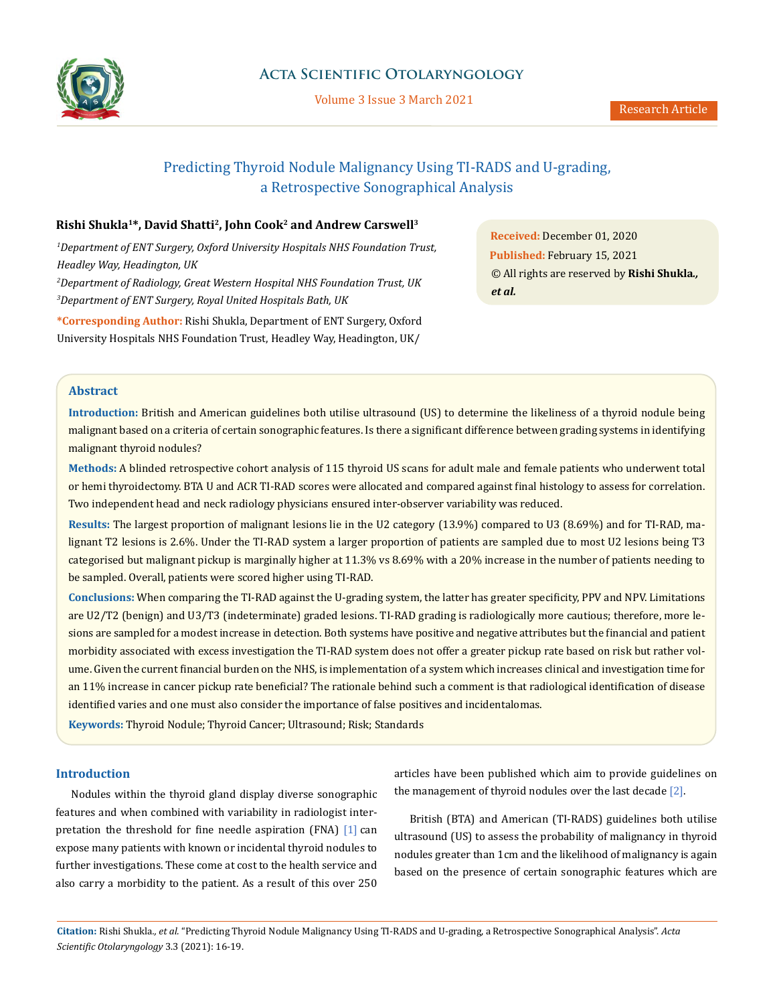

Volume 3 Issue 3 March 2021

# Predicting Thyroid Nodule Malignancy Using TI-RADS and U-grading, a Retrospective Sonographical Analysis

# **Rishi Shukla1\*, David Shatti2, John Cook2 and Andrew Carswell3**

 *Department of ENT Surgery, Oxford University Hospitals NHS Foundation Trust, Headley Way, Headington, UK Department of Radiology, Great Western Hospital NHS Foundation Trust, UK Department of ENT Surgery, Royal United Hospitals Bath, UK*

**\*Corresponding Author:** Rishi Shukla, Department of ENT Surgery, Oxford University Hospitals NHS Foundation Trust, Headley Way, Headington, UK/

**Received:** December 01, 2020 **Published:** February 15, 2021 © All rights are reserved by **Rishi Shukla***., et al.*

# **Abstract**

**Introduction:** British and American guidelines both utilise ultrasound (US) to determine the likeliness of a thyroid nodule being malignant based on a criteria of certain sonographic features. Is there a significant difference between grading systems in identifying malignant thyroid nodules?

**Methods:** A blinded retrospective cohort analysis of 115 thyroid US scans for adult male and female patients who underwent total or hemi thyroidectomy. BTA U and ACR TI-RAD scores were allocated and compared against final histology to assess for correlation. Two independent head and neck radiology physicians ensured inter-observer variability was reduced.

**Results:** The largest proportion of malignant lesions lie in the U2 category (13.9%) compared to U3 (8.69%) and for TI-RAD, malignant T2 lesions is 2.6%. Under the TI-RAD system a larger proportion of patients are sampled due to most U2 lesions being T3 categorised but malignant pickup is marginally higher at 11.3% vs 8.69% with a 20% increase in the number of patients needing to be sampled. Overall, patients were scored higher using TI-RAD.

**Conclusions:** When comparing the TI-RAD against the U-grading system, the latter has greater specificity, PPV and NPV. Limitations are U2/T2 (benign) and U3/T3 (indeterminate) graded lesions. TI-RAD grading is radiologically more cautious; therefore, more lesions are sampled for a modest increase in detection. Both systems have positive and negative attributes but the financial and patient morbidity associated with excess investigation the TI-RAD system does not offer a greater pickup rate based on risk but rather volume. Given the current financial burden on the NHS, is implementation of a system which increases clinical and investigation time for an 11% increase in cancer pickup rate beneficial? The rationale behind such a comment is that radiological identification of disease identified varies and one must also consider the importance of false positives and incidentalomas.

**Keywords:** Thyroid Nodule; Thyroid Cancer; Ultrasound; Risk; Standards

# **Introduction**

Nodules within the thyroid gland display diverse sonographic features and when combined with variability in radiologist interpretation the threshold for fine needle aspiration (FNA) [1] can expose many patients with known or incidental thyroid nodules to further investigations. These come at cost to the health service and also carry a morbidity to the patient. As a result of this over 250 articles have been published which aim to provide guidelines on the management of thyroid nodules over the last decade [2].

British (BTA) and American (TI-RADS) guidelines both utilise ultrasound (US) to assess the probability of malignancy in thyroid nodules greater than 1cm and the likelihood of malignancy is again based on the presence of certain sonographic features which are

**Citation:** Rishi Shukla*., et al.* "Predicting Thyroid Nodule Malignancy Using TI-RADS and U-grading, a Retrospective Sonographical Analysis". *Acta Scientific Otolaryngology* 3.3 (2021): 16-19.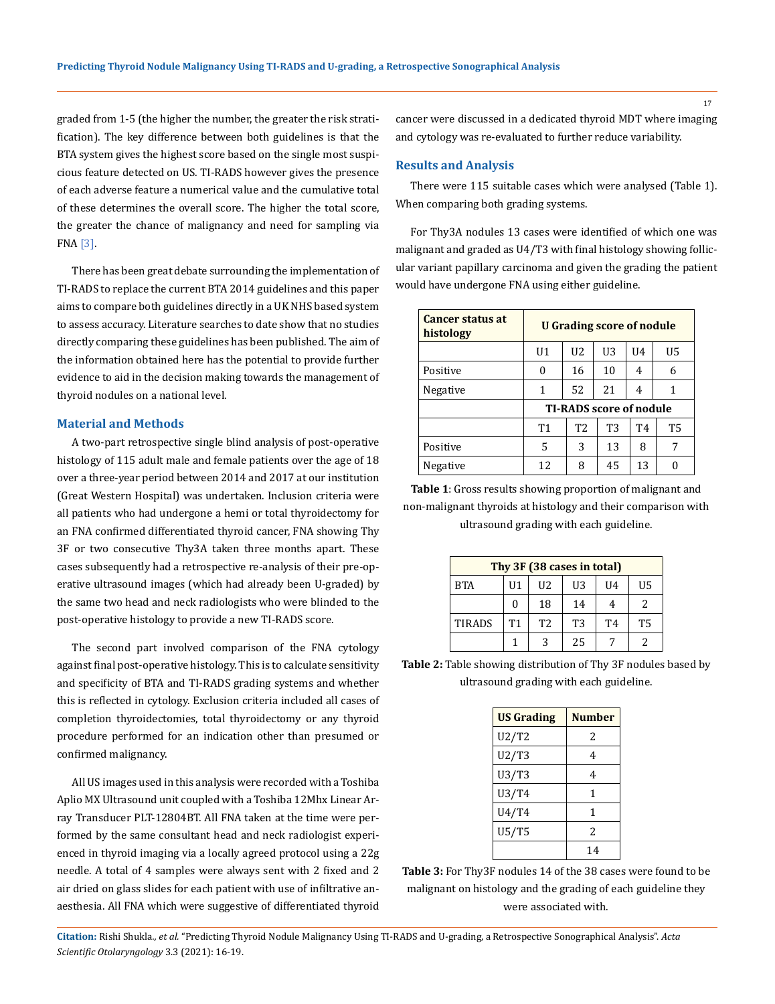graded from 1-5 (the higher the number, the greater the risk stratification). The key difference between both guidelines is that the BTA system gives the highest score based on the single most suspicious feature detected on US. TI-RADS however gives the presence of each adverse feature a numerical value and the cumulative total of these determines the overall score. The higher the total score, the greater the chance of malignancy and need for sampling via FNA [3].

There has been great debate surrounding the implementation of TI-RADS to replace the current BTA 2014 guidelines and this paper aims to compare both guidelines directly in a UK NHS based system to assess accuracy. Literature searches to date show that no studies directly comparing these guidelines has been published. The aim of the information obtained here has the potential to provide further evidence to aid in the decision making towards the management of thyroid nodules on a national level.

#### **Material and Methods**

A two-part retrospective single blind analysis of post-operative histology of 115 adult male and female patients over the age of 18 over a three-year period between 2014 and 2017 at our institution (Great Western Hospital) was undertaken. Inclusion criteria were all patients who had undergone a hemi or total thyroidectomy for an FNA confirmed differentiated thyroid cancer, FNA showing Thy 3F or two consecutive Thy3A taken three months apart. These cases subsequently had a retrospective re-analysis of their pre-operative ultrasound images (which had already been U-graded) by the same two head and neck radiologists who were blinded to the post-operative histology to provide a new TI-RADS score.

The second part involved comparison of the FNA cytology against final post-operative histology. This is to calculate sensitivity and specificity of BTA and TI-RADS grading systems and whether this is reflected in cytology. Exclusion criteria included all cases of completion thyroidectomies, total thyroidectomy or any thyroid procedure performed for an indication other than presumed or confirmed malignancy.

All US images used in this analysis were recorded with a Toshiba Aplio MX Ultrasound unit coupled with a Toshiba 12Mhx Linear Array Transducer PLT-12804BT. All FNA taken at the time were performed by the same consultant head and neck radiologist experienced in thyroid imaging via a locally agreed protocol using a 22g needle. A total of 4 samples were always sent with 2 fixed and 2 air dried on glass slides for each patient with use of infiltrative anaesthesia. All FNA which were suggestive of differentiated thyroid

cancer were discussed in a dedicated thyroid MDT where imaging and cytology was re-evaluated to further reduce variability.

# **Results and Analysis**

There were 115 suitable cases which were analysed (Table 1). When comparing both grading systems.

For Thy3A nodules 13 cases were identified of which one was malignant and graded as U4/T3 with final histology showing follicular variant papillary carcinoma and given the grading the patient would have undergone FNA using either guideline.

| Cancer status at<br>histology | <b>U</b> Grading score of nodule |                |                |                |           |
|-------------------------------|----------------------------------|----------------|----------------|----------------|-----------|
|                               | U1                               | U <sub>2</sub> | U <sub>3</sub> | II4            | U5        |
| Positive                      | 0                                | 16             | 10             | 4              | 6         |
| Negative                      | 1                                | 52             | 21             | 4              | 1         |
|                               | <b>TI-RADS score of nodule</b>   |                |                |                |           |
|                               | T1                               | T <sub>2</sub> | T <sub>3</sub> | T <sub>4</sub> | <b>T5</b> |
| Positive                      | 5                                | 3              | 13             | 8              | 7         |
| Negative                      | 12                               | 8              | 45             | 13             |           |

**Table 1**: Gross results showing proportion of malignant and non-malignant thyroids at histology and their comparison with ultrasound grading with each guideline.

| Thy 3F (38 cases in total) |                |                |    |                |                          |
|----------------------------|----------------|----------------|----|----------------|--------------------------|
| <b>BTA</b>                 | U <sub>1</sub> | U <sub>2</sub> | U3 | $U_4$          | U <sub>5</sub>           |
|                            | O              | 18             | 14 |                | $\overline{\mathcal{L}}$ |
| <b>TIRADS</b>              | <b>T1</b>      | T <sub>2</sub> | T3 | T <sub>4</sub> | <b>T5</b>                |
|                            |                | ર              | 25 |                | 2                        |

**Table 2:** Table showing distribution of Thy 3F nodules based by ultrasound grading with each guideline.

| <b>US Grading</b> | <b>Number</b>            |  |
|-------------------|--------------------------|--|
| U2/T2             | 2                        |  |
| U2/T3             | 4                        |  |
| U3/T3             | 4                        |  |
| U3/T4             | 1                        |  |
| U4/T4             | 1                        |  |
| U5/T5             | $\overline{\mathcal{L}}$ |  |
|                   | 14                       |  |

**Table 3:** For Thy3F nodules 14 of the 38 cases were found to be malignant on histology and the grading of each guideline they were associated with.

**Citation:** Rishi Shukla*., et al.* "Predicting Thyroid Nodule Malignancy Using TI-RADS and U-grading, a Retrospective Sonographical Analysis". *Acta Scientific Otolaryngology* 3.3 (2021): 16-19.

17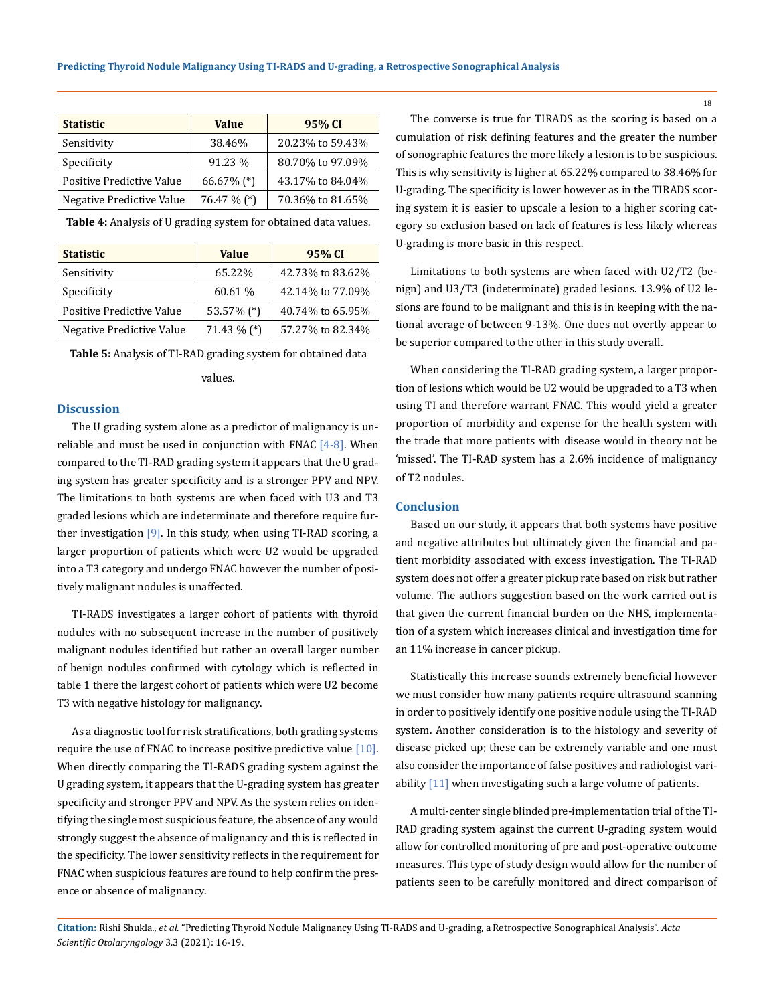| <b>Value</b>  | 95% CI           |  |
|---------------|------------------|--|
| 38.46%        | 20.23% to 59.43% |  |
| 91.23 %       | 80.70% to 97.09% |  |
| $66.67\%$ (*) | 43.17% to 84.04% |  |
| 76.47 % (*)   | 70.36% to 81.65% |  |
|               |                  |  |

| <b>Statistic</b>          | <b>Value</b>  | 95% CI           |
|---------------------------|---------------|------------------|
| Sensitivity               | 65.22%        | 42.73% to 83.62% |
| Specificity               | 60.61 %       | 42.14% to 77.09% |
| Positive Predictive Value | 53.57% (*)    | 40.74% to 65.95% |
| Negative Predictive Value | $71.43\%$ (*) | 57.27% to 82.34% |

**Table 4:** Analysis of U grading system for obtained data values.

**Table 5:** Analysis of TI-RAD grading system for obtained data

#### values.

#### **Discussion**

The U grading system alone as a predictor of malignancy is unreliable and must be used in conjunction with FNAC  $[4-8]$ . When compared to the TI-RAD grading system it appears that the U grading system has greater specificity and is a stronger PPV and NPV. The limitations to both systems are when faced with U3 and T3 graded lesions which are indeterminate and therefore require further investigation  $[9]$ . In this study, when using TI-RAD scoring, a larger proportion of patients which were U2 would be upgraded into a T3 category and undergo FNAC however the number of positively malignant nodules is unaffected.

TI-RADS investigates a larger cohort of patients with thyroid nodules with no subsequent increase in the number of positively malignant nodules identified but rather an overall larger number of benign nodules confirmed with cytology which is reflected in table 1 there the largest cohort of patients which were U2 become T3 with negative histology for malignancy.

As a diagnostic tool for risk stratifications, both grading systems require the use of FNAC to increase positive predictive value [10]. When directly comparing the TI-RADS grading system against the U grading system, it appears that the U-grading system has greater specificity and stronger PPV and NPV. As the system relies on identifying the single most suspicious feature, the absence of any would strongly suggest the absence of malignancy and this is reflected in the specificity. The lower sensitivity reflects in the requirement for FNAC when suspicious features are found to help confirm the presence or absence of malignancy.

The converse is true for TIRADS as the scoring is based on a cumulation of risk defining features and the greater the number of sonographic features the more likely a lesion is to be suspicious. This is why sensitivity is higher at 65.22% compared to 38.46% for U-grading. The specificity is lower however as in the TIRADS scoring system it is easier to upscale a lesion to a higher scoring category so exclusion based on lack of features is less likely whereas U-grading is more basic in this respect.

Limitations to both systems are when faced with U2/T2 (benign) and U3/T3 (indeterminate) graded lesions. 13.9% of U2 lesions are found to be malignant and this is in keeping with the national average of between 9-13%. One does not overtly appear to be superior compared to the other in this study overall.

When considering the TI-RAD grading system, a larger proportion of lesions which would be U2 would be upgraded to a T3 when using TI and therefore warrant FNAC. This would yield a greater proportion of morbidity and expense for the health system with the trade that more patients with disease would in theory not be 'missed'. The TI-RAD system has a 2.6% incidence of malignancy of T2 nodules.

# **Conclusion**

Based on our study, it appears that both systems have positive and negative attributes but ultimately given the financial and patient morbidity associated with excess investigation. The TI-RAD system does not offer a greater pickup rate based on risk but rather volume. The authors suggestion based on the work carried out is that given the current financial burden on the NHS, implementation of a system which increases clinical and investigation time for an 11% increase in cancer pickup.

Statistically this increase sounds extremely beneficial however we must consider how many patients require ultrasound scanning in order to positively identify one positive nodule using the TI-RAD system. Another consideration is to the histology and severity of disease picked up; these can be extremely variable and one must also consider the importance of false positives and radiologist variability [11] when investigating such a large volume of patients.

A multi-center single blinded pre-implementation trial of the TI-RAD grading system against the current U-grading system would allow for controlled monitoring of pre and post-operative outcome measures. This type of study design would allow for the number of patients seen to be carefully monitored and direct comparison of

**Citation:** Rishi Shukla*., et al.* "Predicting Thyroid Nodule Malignancy Using TI-RADS and U-grading, a Retrospective Sonographical Analysis". *Acta Scientific Otolaryngology* 3.3 (2021): 16-19.

18